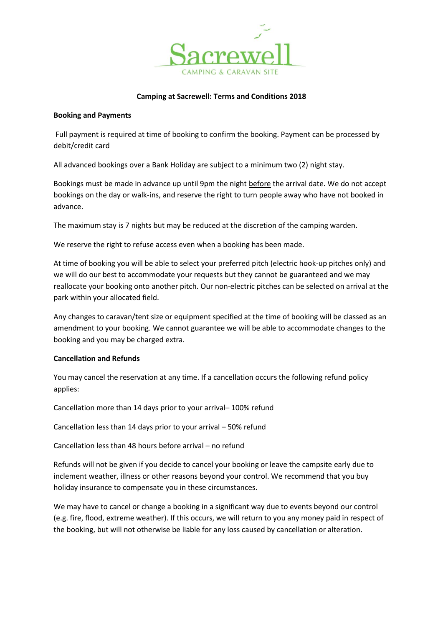

#### **Camping at Sacrewell: Terms and Conditions 2018**

#### **Booking and Payments**

Full payment is required at time of booking to confirm the booking. Payment can be processed by debit/credit card

All advanced bookings over a Bank Holiday are subject to a minimum two (2) night stay.

Bookings must be made in advance up until 9pm the night before the arrival date. We do not accept bookings on the day or walk-ins, and reserve the right to turn people away who have not booked in advance.

The maximum stay is 7 nights but may be reduced at the discretion of the camping warden.

We reserve the right to refuse access even when a booking has been made.

At time of booking you will be able to select your preferred pitch (electric hook-up pitches only) and we will do our best to accommodate your requests but they cannot be guaranteed and we may reallocate your booking onto another pitch. Our non-electric pitches can be selected on arrival at the park within your allocated field.

Any changes to caravan/tent size or equipment specified at the time of booking will be classed as an amendment to your booking. We cannot guarantee we will be able to accommodate changes to the booking and you may be charged extra.

#### **Cancellation and Refunds**

You may cancel the reservation at any time. If a cancellation occurs the following refund policy applies:

Cancellation more than 14 days prior to your arrival– 100% refund

Cancellation less than 14 days prior to your arrival – 50% refund

Cancellation less than 48 hours before arrival – no refund

Refunds will not be given if you decide to cancel your booking or leave the campsite early due to inclement weather, illness or other reasons beyond your control. We recommend that you buy holiday insurance to compensate you in these circumstances.

We may have to cancel or change a booking in a significant way due to events beyond our control (e.g. fire, flood, extreme weather). If this occurs, we will return to you any money paid in respect of the booking, but will not otherwise be liable for any loss caused by cancellation or alteration.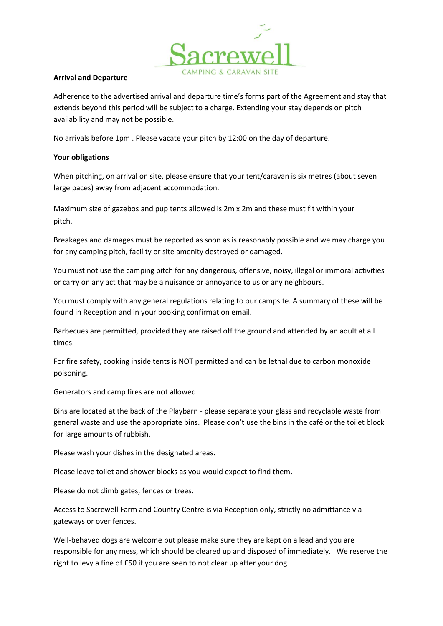

#### **Arrival and Departure**

Adherence to the advertised arrival and departure time's forms part of the Agreement and stay that extends beyond this period will be subject to a charge. Extending your stay depends on pitch availability and may not be possible.

No arrivals before 1pm . Please vacate your pitch by 12:00 on the day of departure.

# **Your obligations**

When pitching, on arrival on site, please ensure that your tent/caravan is six metres (about seven large paces) away from adjacent accommodation.

Maximum size of gazebos and pup tents allowed is 2m x 2m and these must fit within your pitch.

Breakages and damages must be reported as soon as is reasonably possible and we may charge you for any camping pitch, facility or site amenity destroyed or damaged.

You must not use the camping pitch for any dangerous, offensive, noisy, illegal or immoral activities or carry on any act that may be a nuisance or annoyance to us or any neighbours.

You must comply with any general regulations relating to our campsite. A summary of these will be found in Reception and in your booking confirmation email.

Barbecues are permitted, provided they are raised off the ground and attended by an adult at all times.

For fire safety, cooking inside tents is NOT permitted and can be lethal due to carbon monoxide poisoning.

Generators and camp fires are not allowed.

Bins are located at the back of the Playbarn - please separate your glass and recyclable waste from general waste and use the appropriate bins. Please don't use the bins in the café or the toilet block for large amounts of rubbish.

Please wash your dishes in the designated areas.

Please leave toilet and shower blocks as you would expect to find them.

Please do not climb gates, fences or trees.

Access to Sacrewell Farm and Country Centre is via Reception only, strictly no admittance via gateways or over fences.

Well-behaved dogs are welcome but please make sure they are kept on a lead and you are responsible for any mess, which should be cleared up and disposed of immediately. We reserve the right to levy a fine of £50 if you are seen to not clear up after your dog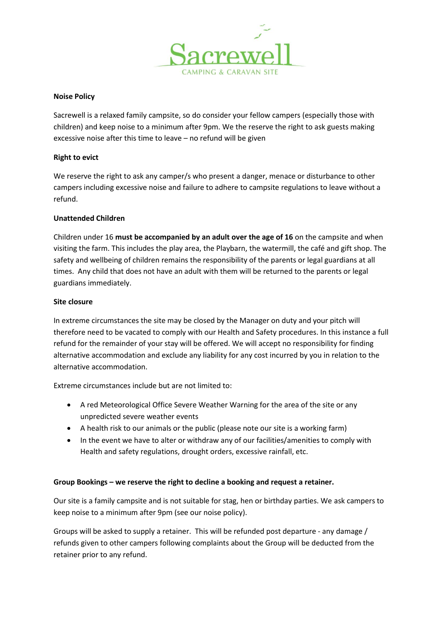

# **Noise Policy**

Sacrewell is a relaxed family campsite, so do consider your fellow campers (especially those with children) and keep noise to a minimum after 9pm. We the reserve the right to ask guests making excessive noise after this time to leave – no refund will be given

## **Right to evict**

We reserve the right to ask any camper/s who present a danger, menace or disturbance to other campers including excessive noise and failure to adhere to campsite regulations to leave without a refund.

## **Unattended Children**

Children under 16 **must be accompanied by an adult over the age of 16** on the campsite and when visiting the farm. This includes the play area, the Playbarn, the watermill, the café and gift shop. The safety and wellbeing of children remains the responsibility of the parents or legal guardians at all times. Any child that does not have an adult with them will be returned to the parents or legal guardians immediately.

## **Site closure**

In extreme circumstances the site may be closed by the Manager on duty and your pitch will therefore need to be vacated to comply with our Health and Safety procedures. In this instance a full refund for the remainder of your stay will be offered. We will accept no responsibility for finding alternative accommodation and exclude any liability for any cost incurred by you in relation to the alternative accommodation.

Extreme circumstances include but are not limited to:

- A red Meteorological Office Severe Weather Warning for the area of the site or any unpredicted severe weather events
- A health risk to our animals or the public (please note our site is a working farm)
- In the event we have to alter or withdraw any of our facilities/amenities to comply with Health and safety regulations, drought orders, excessive rainfall, etc.

# **Group Bookings – we reserve the right to decline a booking and request a retainer.**

Our site is a family campsite and is not suitable for stag, hen or birthday parties. We ask campers to keep noise to a minimum after 9pm (see our noise policy).

Groups will be asked to supply a retainer. This will be refunded post departure - any damage / refunds given to other campers following complaints about the Group will be deducted from the retainer prior to any refund.